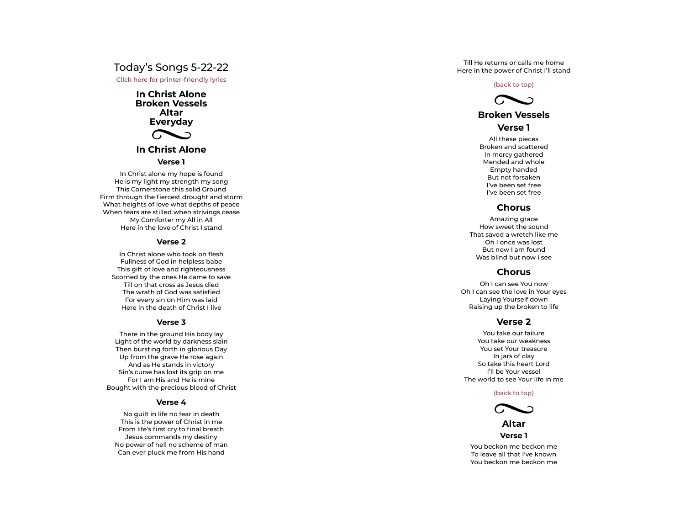# Today's Songs 5-22-22

Click here for printer-friendly lyrics

**In Christ Alone Broken Vessels Altar Everyday**



# **In Christ Alone**

#### **Verse 1**

In Christ alone my hope is found He is my light my strength my song This Cornerstone this solid Ground First Alone<br> **Explorest drought and storm through the fierce of prince Broken Vessels<br>
Altar<br>
Everyday<br>
In Christ Alone<br>
Verse 1<br>
In Christ alone my hope is found<br>
He is my light my strength my song<br>
This Cornerstone this** What heights of love what depths of peace When fears are stilled when strivings cease My Comforter my All in All Here in the love of Christ I stand In Christ alone my hope is found<br>e is my light my strength my song<br>This Cornerstone this solid Ground<br>hrough the fiercest drought and storm<br>theights of love what depths of peace<br>m fears are stilled when strivings cease<br>My

#### **Verse 2**

Fullness of God in helpless babe This gift of love and righteousness Scorned by the ones He came to save Till on that cross as Jesus died<br>The wrath of God was satisfied The was discussed by Christ I stand<br>The Christ alone who took on flesh<br>Fullness of God in helpless babe<br>ins gift of love and righteousness<br>Till on that cross as Jesus died<br>The wrath of God was satisfied For every sin on Him was laid Here in the death of Christ I live

#### **Verse 3**

There in the ground His body lay Light of the world by darkness slain Then bursting forth in glorious Day Up from the grave He rose again And as He stands in victory Sin's curse has lost its grip on me For I am His and He is mine Bought with the precious blood of Christ

#### **Verse 4**

No guilt in life no fear in death This is the power of Christ in me<br>From life's first cry to final breath From life's first cry to final breath Jesus commands my destiny No power of hell no scheme of man Can ever pluck me from His hand

Till He returns or calls me home Here in the power of Christ I'll stand

#### (back to top)



# **Broken Vessels**

# **Verse 1**

All these pieces Broken and scattered In mercy gathered Mended and whole Empty handed But not forsaken I've been set free I've been set free

# **Chorus**

Amazing grace How sweet the sound That saved a wretch like me Oh Ionce was lost But now I am found Was blind but now I see

# **Chorus**

Oh Ican see You now Oh I can see the love in Your eyes Laying Yourself down Raising up the broken to life

### **Verse 2**

You take our failure You take our weakness You set Your treasure In jars of clay So take this heart Lord I'll be Your vessel The world to see Your life in me

(back to top)



**Altar Verse 1**

You beckon me beckon me To leave all that I've known You beckon me beckon me